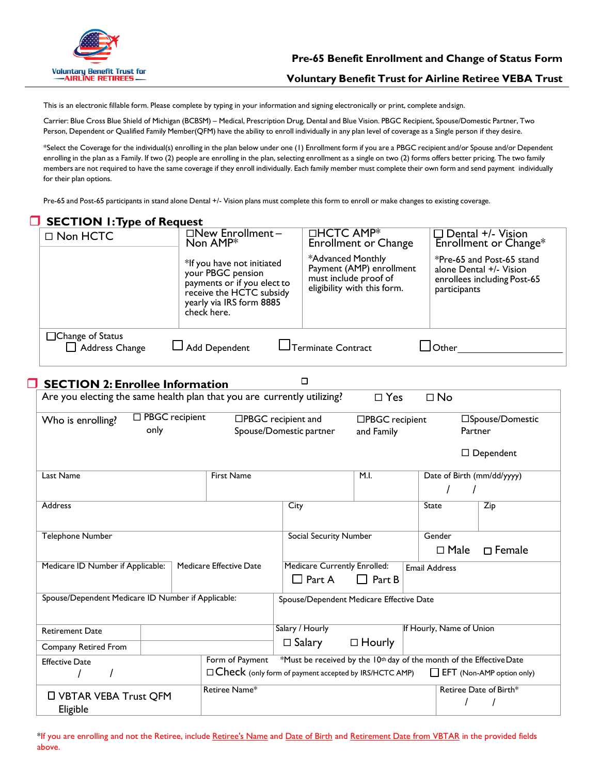

This is an electronic fillable form. Please complete by typing in your information and signing electronically or print, complete andsign.

Carrier: Blue Cross Blue Shield of Michigan (BCBSM) – Medical, Prescription Drug, Dental and Blue Vision. PBGC Recipient, Spouse/Domestic Partner, Two Person, Dependent or Qualified Family Member(QFM) have the ability to enroll individually in any plan level of coverage as a Single person if they desire.

\*Select the Coverage for the individual(s) enrolling in the plan below under one (1) Enrollment form if you are a PBGC recipient and/or Spouse and/or Dependent enrolling in the plan as a Family. If two (2) people are enrolling in the plan, selecting enrollment as a single on two (2) forms offers better pricing. The two family members are not required to have the same coverage if they enroll individually. Each family member must complete their own form and send payment individually for their plan options.

Pre-65 and Post-65 participants in stand alone Dental +/- Vision plans must complete this form to enroll or make changes to existing coverage.

|                                                                               | <b>SECTION 1: Type of Request</b>                                                 |                  |                                                                                                                                                       |                                                                      |                                            |                                                         |                          |                                                                                     |
|-------------------------------------------------------------------------------|-----------------------------------------------------------------------------------|------------------|-------------------------------------------------------------------------------------------------------------------------------------------------------|----------------------------------------------------------------------|--------------------------------------------|---------------------------------------------------------|--------------------------|-------------------------------------------------------------------------------------|
|                                                                               | □ Non HCTC                                                                        |                  | $\square$ New Enrollment-<br>Non AMP*                                                                                                                 |                                                                      | □HCTC AMP <sup>*</sup>                     | <b>Enrollment or Change</b>                             |                          | $\Box$ Dental +/- Vision<br>Enrollment or Change*                                   |
|                                                                               |                                                                                   |                  | *If you have not initiated<br>your PBGC pension<br>payments or if you elect to<br>receive the HCTC subsidy<br>yearly via IRS form 8885<br>check here. |                                                                      | *Advanced Monthly<br>must include proof of | Payment (AMP) enrollment<br>eligibility with this form. | participants             | *Pre-65 and Post-65 stand<br>alone Dental +/- Vision<br>enrollees including Post-65 |
|                                                                               | □Change of Status<br>$\Box$ Add Dependent<br>Terminate Contract<br>Address Change |                  |                                                                                                                                                       |                                                                      |                                            |                                                         |                          |                                                                                     |
| $\Box$                                                                        | <b>SECTION 2: Enrollee Information</b>                                            |                  |                                                                                                                                                       |                                                                      | $\Box$                                     |                                                         |                          |                                                                                     |
|                                                                               | Are you electing the same health plan that you are currently utilizing?           |                  |                                                                                                                                                       |                                                                      |                                            | $\square$ Yes                                           | $\square$ No             |                                                                                     |
|                                                                               |                                                                                   |                  |                                                                                                                                                       |                                                                      |                                            |                                                         |                          |                                                                                     |
|                                                                               | Who is enrolling?                                                                 | □ PBGC recipient | □PBGC recipient and                                                                                                                                   |                                                                      |                                            | □PBGC recipient                                         |                          | □Spouse/Domestic                                                                    |
|                                                                               | only<br>Partner<br>Spouse/Domestic partner<br>and Family                          |                  |                                                                                                                                                       |                                                                      |                                            |                                                         |                          |                                                                                     |
|                                                                               |                                                                                   |                  |                                                                                                                                                       |                                                                      |                                            |                                                         |                          | $\Box$ Dependent                                                                    |
|                                                                               | Last Name                                                                         |                  | <b>First Name</b>                                                                                                                                     |                                                                      |                                            | M.I.                                                    |                          | Date of Birth (mm/dd/yyyy)                                                          |
|                                                                               |                                                                                   |                  |                                                                                                                                                       |                                                                      |                                            |                                                         |                          |                                                                                     |
|                                                                               | Address                                                                           |                  |                                                                                                                                                       | City                                                                 |                                            |                                                         | State                    | $\overline{Zip}$                                                                    |
|                                                                               |                                                                                   |                  |                                                                                                                                                       |                                                                      |                                            |                                                         |                          |                                                                                     |
|                                                                               | <b>Telephone Number</b>                                                           |                  | <b>Social Security Number</b>                                                                                                                         |                                                                      |                                            | Gender                                                  |                          |                                                                                     |
|                                                                               |                                                                                   |                  |                                                                                                                                                       |                                                                      |                                            |                                                         | $\Box$ Male              | $\Box$ Female                                                                       |
|                                                                               | Medicare ID Number if Applicable:                                                 |                  | Medicare Effective Date                                                                                                                               |                                                                      | <b>Medicare Currently Enrolled:</b>        |                                                         | <b>Email Address</b>     |                                                                                     |
|                                                                               | Spouse/Dependent Medicare ID Number if Applicable:                                |                  |                                                                                                                                                       |                                                                      | $\Box$ Part A                              | $\Box$ Part B                                           |                          |                                                                                     |
|                                                                               |                                                                                   |                  |                                                                                                                                                       | Spouse/Dependent Medicare Effective Date                             |                                            |                                                         |                          |                                                                                     |
|                                                                               |                                                                                   |                  |                                                                                                                                                       |                                                                      |                                            |                                                         |                          |                                                                                     |
|                                                                               | <b>Retirement Date</b>                                                            |                  |                                                                                                                                                       | Salary / Hourly                                                      |                                            |                                                         | If Hourly, Name of Union |                                                                                     |
|                                                                               | Company Retired From                                                              |                  |                                                                                                                                                       | $\Box$ Salary                                                        |                                            | $\Box$ Hourly                                           |                          |                                                                                     |
|                                                                               | Form of Payment<br><b>Effective Date</b>                                          |                  |                                                                                                                                                       | *Must be received by the 10th day of the month of the Effective Date |                                            |                                                         |                          |                                                                                     |
| $\Box$ Check (only form of payment accepted by IRS/HCTC AMP)<br>I<br>$\prime$ |                                                                                   |                  |                                                                                                                                                       | EFT (Non-AMP option only)                                            |                                            |                                                         |                          |                                                                                     |
|                                                                               |                                                                                   |                  | Retiree Name <sup>*</sup>                                                                                                                             |                                                                      |                                            |                                                         |                          | Retiree Date of Birth*                                                              |
|                                                                               | <b>U VBTAR VEBA Trust QFM</b>                                                     |                  |                                                                                                                                                       |                                                                      |                                            |                                                         | $\prime$                 | $\prime$                                                                            |
|                                                                               | Eligible                                                                          |                  |                                                                                                                                                       |                                                                      |                                            |                                                         |                          |                                                                                     |

\*If you are enrolling and not the Retiree, include Retiree's Name and Date of Birth and Retirement Date from VBTAR in the provided fields above.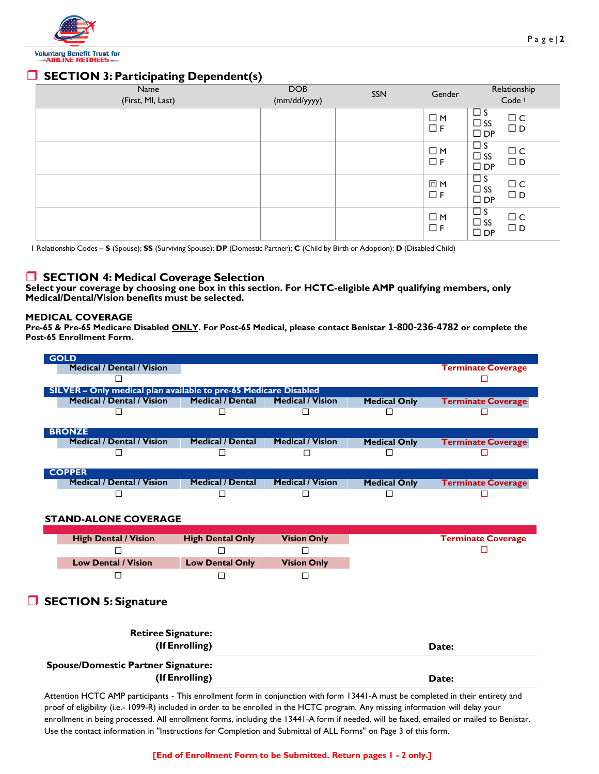

# **SECTION 3: Participating Dependent(s)**

| Name              | <b>DOB</b>   | SSN | Gender                  | Relationship                                                                          |
|-------------------|--------------|-----|-------------------------|---------------------------------------------------------------------------------------|
| (First, MI, Last) | (mm/dd/yyyy) |     |                         | Code <sup>1</sup>                                                                     |
|                   |              |     | $\Box M$<br>$\Box F$    | $\Box$ s<br>$\square$<br><br>$\subset$<br>$\Box$ SS<br>$\square$<br>D<br>$\square$ DP |
|                   |              |     | $\square$ M<br>$\Box F$ | $\Box$ s<br>$\Box$ C<br>$\Box$ SS<br>$\Box$ D<br>$\square$ DP                         |
|                   |              |     | □ M<br>$\Box F$         | $\Box$<br>$\Box$ C<br>$\Box$ SS<br>$\Box$ D<br>$\square$ DP                           |
|                   |              |     | $\square$ M<br>$\Box F$ | $\Box$ s<br>$\Box$ C<br>$\Box$ SS<br>$\Box$ D<br>$\square$ DP                         |

1 Relationship Codes – **S** (Spouse); **SS** (Surviving Spouse); **DP** (Domestic Partner); **C** (Child by Birth or Adoption); **D** (Disabled Child)

## **SECTION 4: Medical Coverage Selection**

**Select your coverage by choosing one box in this section. For HCTC-eligible AMP qualifying members, only Medical/Dental/Vision benefits must be selected.**

#### **MEDICAL COVERAGE**

**Pre-65 & Pre-65 Medicare Disabled ONLY. For Post-65 Medical, please contact Benistar 1-800-236-4782 or complete the Post-65 Enrollment Form.**

| <b>Terminate Coverage</b> |
|---------------------------|
|                           |
|                           |
|                           |
| <b>Terminate Coverage</b> |
|                           |
|                           |
|                           |
| <b>Terminate Coverage</b> |
|                           |
|                           |
|                           |
| <b>Terminate Coverage</b> |
|                           |
|                           |

#### **STAND-ALONE COVERAGE**

| <b>High Dental / Vision</b> | <b>High Dental Only</b> | <b>Vision Only</b> |
|-----------------------------|-------------------------|--------------------|
|                             |                         |                    |
| <b>Low Dental / Vision</b>  | <b>Low Dental Only</b>  | <b>Vision Only</b> |
|                             |                         |                    |

## **SECTION 5: Signature**

| <b>Retiree Signature:</b><br>(If Enrolling)                 | Date: |
|-------------------------------------------------------------|-------|
| <b>Spouse/Domestic Partner Signature:</b><br>(If Enrolling) | Date: |

Attention HCTC AMP participants - This enrollment form in conjunction with form 13441-A must be completed in their entirety and proof of eligibility (i.e.- 1099-R) included in order to be enrolled in the HCTC program. Any missing information will delay your enrollment in being processed. All enrollment forms, including the 13441-A form if needed, will be faxed, emailed or mailed to Benistar. Use the contact information in "Instructions for Completion and Submittal of ALL Forms" on Page 3 of this form.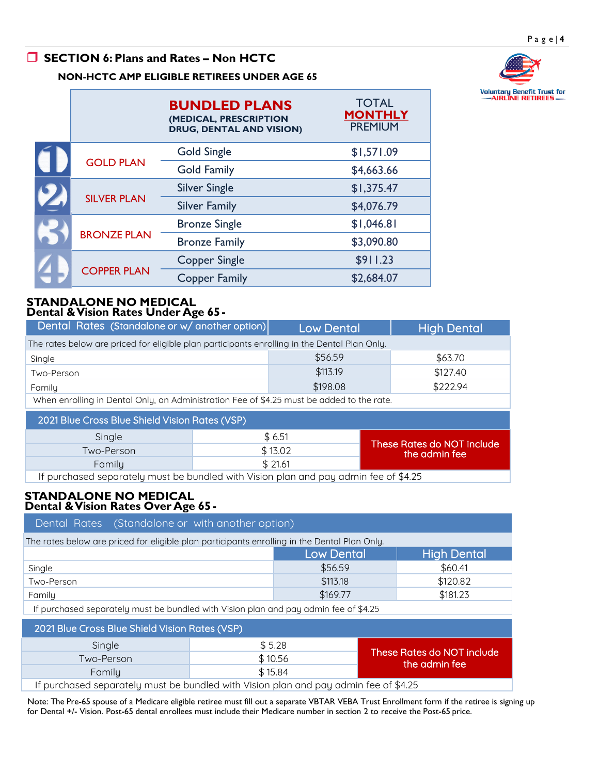# **SECTION 6: Plans and Rates – Non HCTC**



## **NON-HCTC AMP ELIGIBLE RETIREES UNDER AGE 65**

|  |                    | <b>BUNDLED PLANS</b><br>(MEDICAL, PRESCRIPTION<br><b>DRUG, DENTAL AND VISION)</b> | <b>TOTAL</b><br><b>MONTHLY</b><br><b>PREMIUM</b> |
|--|--------------------|-----------------------------------------------------------------------------------|--------------------------------------------------|
|  | <b>GOLD PLAN</b>   | <b>Gold Single</b>                                                                | \$1,571.09                                       |
|  |                    | <b>Gold Family</b>                                                                | \$4,663.66                                       |
|  | <b>SILVER PLAN</b> | <b>Silver Single</b>                                                              | \$1,375.47                                       |
|  |                    | <b>Silver Family</b>                                                              | \$4,076.79                                       |
|  | <b>BRONZE PLAN</b> | <b>Bronze Single</b>                                                              | \$1,046.81                                       |
|  |                    | <b>Bronze Family</b>                                                              | \$3,090.80                                       |
|  | <b>COPPER PLAN</b> | <b>Copper Single</b>                                                              | \$911.23                                         |
|  |                    | <b>Copper Family</b>                                                              | \$2,684.07                                       |

### **STANDALONE NO MEDICAL Dental & Vision Rates Under Age 65-**

| Dental Rates (Standalone or w/ another option)                                               |                                                                                 | <b>Low Dental</b> | <b>High Dental</b>         |  |  |
|----------------------------------------------------------------------------------------------|---------------------------------------------------------------------------------|-------------------|----------------------------|--|--|
| The rates below are priced for eligible plan participants enrolling in the Dental Plan Only. |                                                                                 |                   |                            |  |  |
| Single                                                                                       |                                                                                 | \$56.59           | \$63.70                    |  |  |
| Two-Person                                                                                   |                                                                                 | \$113.19          | \$127.40                   |  |  |
| Family                                                                                       |                                                                                 | \$198.08          | \$222.94                   |  |  |
| When enrolling in Dental Only, an Administration Fee of \$4.25 must be added to the rate.    |                                                                                 |                   |                            |  |  |
| 2021 Blue Cross Blue Shield Vision Rates (VSP)                                               |                                                                                 |                   |                            |  |  |
| Single                                                                                       |                                                                                 | \$6.51            | These Rates do NOT include |  |  |
| Two-Person                                                                                   |                                                                                 | \$13.02           | the admin fee              |  |  |
| Family                                                                                       |                                                                                 | \$21.61           |                            |  |  |
|                                                                                              | The contract of the contract of the contract of the contract of the contract of | $\mathbf{r}$      | .                          |  |  |

If purchased separately must be bundled with Vision plan and pay admin fee of \$4.25

#### **STANDALONE NO MEDICAL Dental & Vision Rates Over Age 65-**

| Dental Rates (Standalone or with another option)                                             |          |          |  |  |  |
|----------------------------------------------------------------------------------------------|----------|----------|--|--|--|
| The rates below are priced for eligible plan participants enrolling in the Dental Plan Only. |          |          |  |  |  |
| <b>High Dental</b><br><b>Low Dental</b>                                                      |          |          |  |  |  |
| Single                                                                                       | \$56.59  | \$60.41  |  |  |  |
| Two-Person                                                                                   | \$113.18 | \$120.82 |  |  |  |
| Family                                                                                       | \$169.77 | \$181.23 |  |  |  |
| If purchased separately must be bundled with Vision plan and pay admin fee of \$4.25         |          |          |  |  |  |

| 2021 Blue Cross Blue Shield Vision Rates (VSP)                                       |         |                                             |  |  |  |
|--------------------------------------------------------------------------------------|---------|---------------------------------------------|--|--|--|
| Single                                                                               | \$5.28  |                                             |  |  |  |
| Two-Person                                                                           | \$10.56 | These Rates do NOT include<br>the admin fee |  |  |  |
| Family                                                                               | \$15.84 |                                             |  |  |  |
| If purchased separately must be bundled with Vision plan and pay admin fee of \$4.25 |         |                                             |  |  |  |

Note: The Pre-65 spouse of a Medicare eligible retiree must fill out a separate VBTAR VEBA Trust Enrollment form if the retiree is signing up for Dental +/- Vision. Post-65 dental enrollees must include their Medicare number in section 2 to receive the Post-65 price.